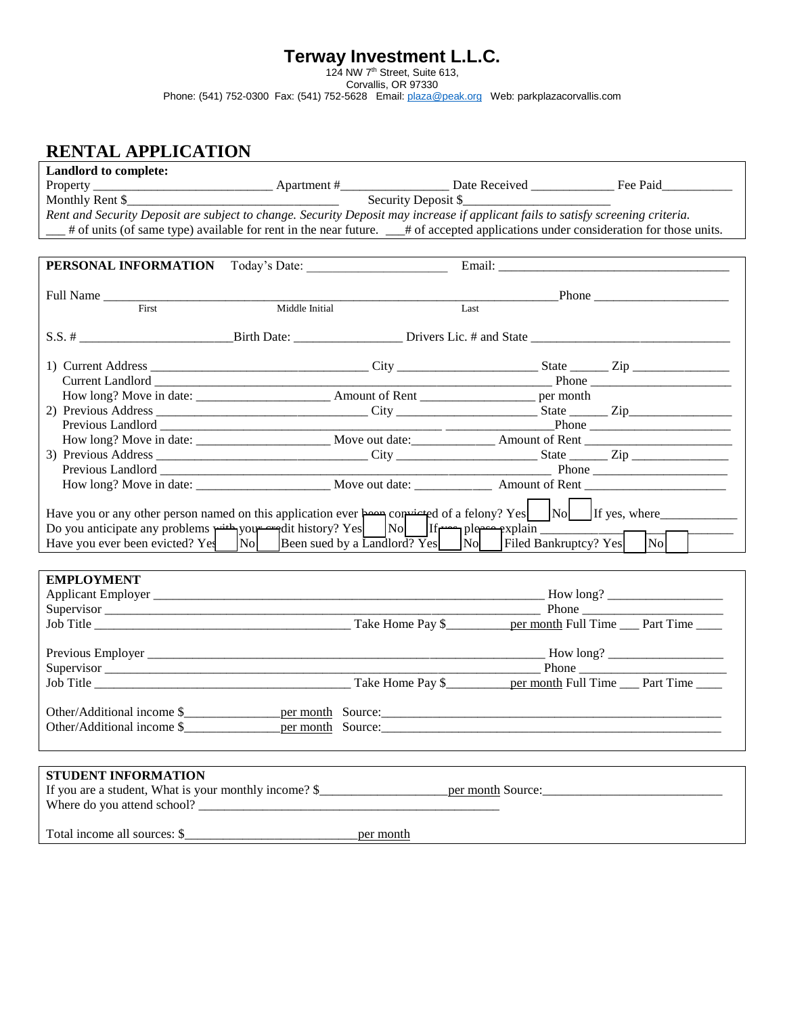## **Terway Investment L.L.C.**

124 NW 7th Street, Suite 613,

Corvallis, OR 97330

Phone: (541) 752-0300 Fax: (541) 752-5628 Email: **plaza@peak.org** Web: parkplazacorvallis.com

## **RENTAL APPLICATION**

| Landlord to complete:                                                                                                                                                                                           |                     |  |      |                                                                                                                                     |  |  |  |  |
|-----------------------------------------------------------------------------------------------------------------------------------------------------------------------------------------------------------------|---------------------|--|------|-------------------------------------------------------------------------------------------------------------------------------------|--|--|--|--|
|                                                                                                                                                                                                                 |                     |  |      |                                                                                                                                     |  |  |  |  |
|                                                                                                                                                                                                                 | Security Deposit \$ |  |      |                                                                                                                                     |  |  |  |  |
| Rent and Security Deposit are subject to change. Security Deposit may increase if applicant fails to satisfy screening criteria.                                                                                |                     |  |      |                                                                                                                                     |  |  |  |  |
|                                                                                                                                                                                                                 |                     |  |      | # of units (of same type) available for rent in the near future. __# of accepted applications under consideration for those units.  |  |  |  |  |
|                                                                                                                                                                                                                 |                     |  |      |                                                                                                                                     |  |  |  |  |
|                                                                                                                                                                                                                 |                     |  |      |                                                                                                                                     |  |  |  |  |
| PERSONAL INFORMATION Today's Date:                                                                                                                                                                              |                     |  |      |                                                                                                                                     |  |  |  |  |
|                                                                                                                                                                                                                 |                     |  |      |                                                                                                                                     |  |  |  |  |
| Full Name<br>First                                                                                                                                                                                              | Middle Initial      |  | Last |                                                                                                                                     |  |  |  |  |
|                                                                                                                                                                                                                 |                     |  |      |                                                                                                                                     |  |  |  |  |
|                                                                                                                                                                                                                 |                     |  |      |                                                                                                                                     |  |  |  |  |
|                                                                                                                                                                                                                 |                     |  |      |                                                                                                                                     |  |  |  |  |
|                                                                                                                                                                                                                 |                     |  |      |                                                                                                                                     |  |  |  |  |
|                                                                                                                                                                                                                 |                     |  |      |                                                                                                                                     |  |  |  |  |
|                                                                                                                                                                                                                 |                     |  |      |                                                                                                                                     |  |  |  |  |
|                                                                                                                                                                                                                 |                     |  |      |                                                                                                                                     |  |  |  |  |
|                                                                                                                                                                                                                 |                     |  |      |                                                                                                                                     |  |  |  |  |
|                                                                                                                                                                                                                 |                     |  |      |                                                                                                                                     |  |  |  |  |
|                                                                                                                                                                                                                 |                     |  |      |                                                                                                                                     |  |  |  |  |
|                                                                                                                                                                                                                 |                     |  |      |                                                                                                                                     |  |  |  |  |
|                                                                                                                                                                                                                 |                     |  |      | How long? Move in date: Move out date: Move out date: Amount of Rent                                                                |  |  |  |  |
|                                                                                                                                                                                                                 |                     |  |      |                                                                                                                                     |  |  |  |  |
|                                                                                                                                                                                                                 |                     |  |      | Have you or any other person named on this application ever $\frac{1}{2}$ convisted of a felony? Yes $\Box$ No $\Box$ If yes, where |  |  |  |  |
|                                                                                                                                                                                                                 |                     |  |      |                                                                                                                                     |  |  |  |  |
| Do you anticipate any problems with your arguit history? Yes No If the plere explain That and the Shape explain The Have you ever been evicted? Yes No Been sued by a Landlord? Yes No Filed Bankruptcy? Yes No |                     |  |      |                                                                                                                                     |  |  |  |  |
|                                                                                                                                                                                                                 |                     |  |      |                                                                                                                                     |  |  |  |  |
|                                                                                                                                                                                                                 |                     |  |      |                                                                                                                                     |  |  |  |  |
| <b>EMPLOYMENT</b>                                                                                                                                                                                               |                     |  |      |                                                                                                                                     |  |  |  |  |
|                                                                                                                                                                                                                 |                     |  |      |                                                                                                                                     |  |  |  |  |
|                                                                                                                                                                                                                 |                     |  |      | <b>Phone</b>                                                                                                                        |  |  |  |  |
|                                                                                                                                                                                                                 |                     |  |      |                                                                                                                                     |  |  |  |  |
|                                                                                                                                                                                                                 |                     |  |      |                                                                                                                                     |  |  |  |  |
|                                                                                                                                                                                                                 |                     |  |      |                                                                                                                                     |  |  |  |  |
|                                                                                                                                                                                                                 |                     |  |      |                                                                                                                                     |  |  |  |  |
|                                                                                                                                                                                                                 |                     |  |      |                                                                                                                                     |  |  |  |  |
|                                                                                                                                                                                                                 |                     |  |      |                                                                                                                                     |  |  |  |  |
|                                                                                                                                                                                                                 |                     |  |      |                                                                                                                                     |  |  |  |  |
|                                                                                                                                                                                                                 |                     |  |      |                                                                                                                                     |  |  |  |  |
|                                                                                                                                                                                                                 |                     |  |      |                                                                                                                                     |  |  |  |  |
|                                                                                                                                                                                                                 |                     |  |      |                                                                                                                                     |  |  |  |  |
| STUDENT INFORMATION                                                                                                                                                                                             |                     |  |      |                                                                                                                                     |  |  |  |  |
|                                                                                                                                                                                                                 |                     |  |      |                                                                                                                                     |  |  |  |  |
|                                                                                                                                                                                                                 |                     |  |      |                                                                                                                                     |  |  |  |  |
|                                                                                                                                                                                                                 |                     |  |      |                                                                                                                                     |  |  |  |  |
|                                                                                                                                                                                                                 |                     |  |      |                                                                                                                                     |  |  |  |  |
|                                                                                                                                                                                                                 |                     |  |      |                                                                                                                                     |  |  |  |  |